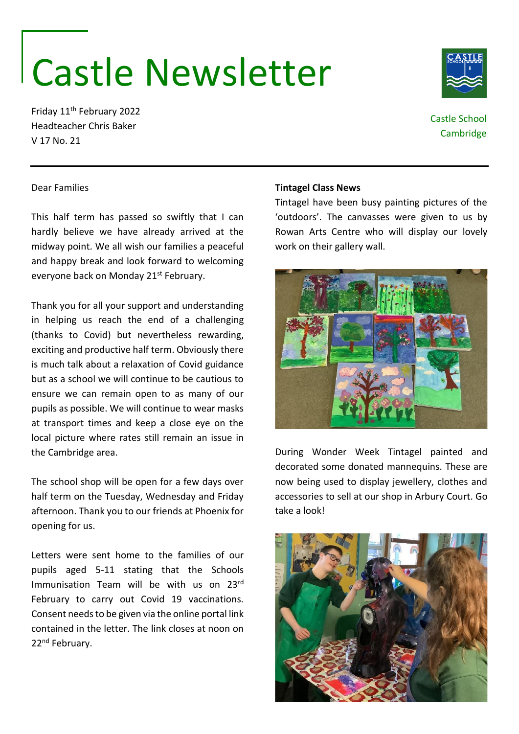# Castle Newsletter

Friday 11th February 2022 Headteacher Chris Baker V 17 No. 21

Dear Families

## **Tintagel Class News**

Tintagel have been busy painting pictures of the 'outdoors'. The canvasses were given to us by Rowan Arts Centre who will display our lovely work on their gallery wall.

# everyone back on Monday 21<sup>st</sup> February. Thank you for all your support and understanding in helping us reach the end of a challenging

(thanks to Covid) but nevertheless rewarding, exciting and productive half term. Obviously there is much talk about a relaxation of Covid guidance but as a school we will continue to be cautious to ensure we can remain open to as many of our pupils as possible. We will continue to wear masks at transport times and keep a close eye on the local picture where rates still remain an issue in the Cambridge area.

This half term has passed so swiftly that I can hardly believe we have already arrived at the midway point. We all wish our families a peaceful and happy break and look forward to welcoming

The school shop will be open for a few days over half term on the Tuesday, Wednesday and Friday afternoon. Thank you to our friends at Phoenix for opening for us.

Letters were sent home to the families of our pupils aged 5-11 stating that the Schools Immunisation Team will be with us on 23rd February to carry out Covid 19 vaccinations. Consent needs to be given via the online portal link contained in the letter. The link closes at noon on 22<sup>nd</sup> February.

During Wonder Week Tintagel painted and decorated some donated mannequins. These are now being used to display jewellery, clothes and accessories to sell at our shop in Arbury Court. Go take a look!







Castle School Cambridge